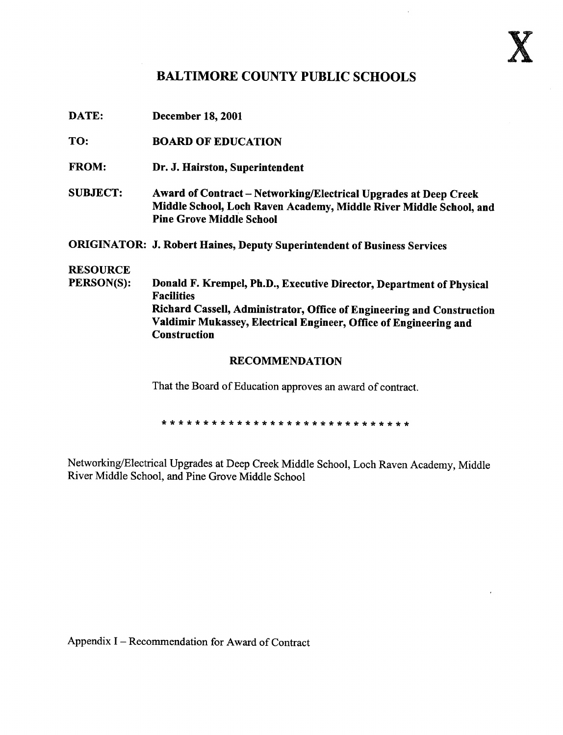

## BALTIMORE COUNTY PUBLIC SCHOOLS

| <b>December 18, 2001</b> |
|--------------------------|
|                          |

- TO: BOARD OF EDUCATION
- FROM: Dr. J. Hairston, Superintendent
- SUBJECT: Award of Contract Networking/Electrical Upgrades at Deep Creek Middle School, Loch Raven Academy, Middle River Middle School, and Pine Grove Middle School

ORIGINATOR: J. Robert Haines, Deputy Superintendent of Business Services

# **RESOURCE**<br>PERSON(S):

Donald F. Krempel, Ph.D., Executive Director, Department of Physical Facilities Richard Cassell, Administrator, Office of Engineering and Construction Valdimir Mukassey, Electrical Engineer, Office of Engineering and **Construction** 

#### RECOMMENDATION

That the Board of Education approves an award of contract.

Networking/Electrical Upgrades at Deep Creek Middle School, Loch Raven Academy, Middle River Middle School, and Pine Grove Middle School

Appendix I – Recommendation for Award of Contract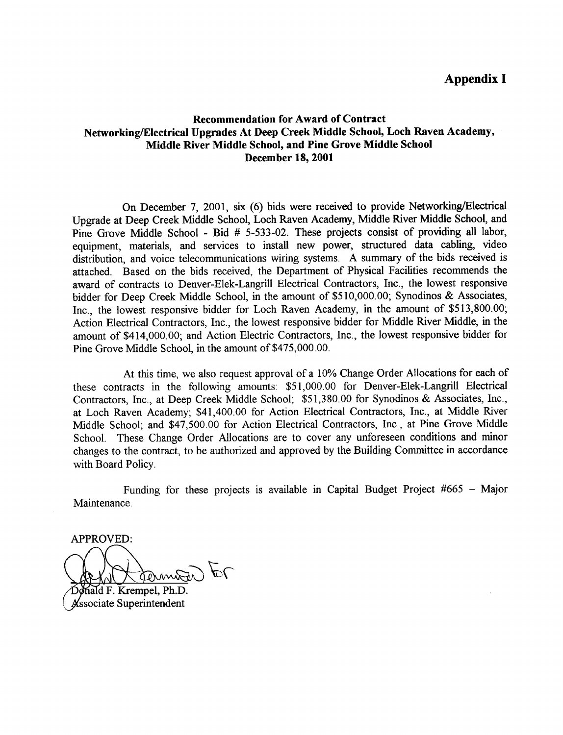### Appendix I

#### Recommendation for Award of Contract Networking/Electrical Upgrades At Deep Creek Middle School, Loch Raven Academy, Middle River Middle School, and Pine Grove Middle School December 18, 2001

On December 7, 2001, six (6) bids were received to provide Networking/Electrical Upgrade at Deep Creek Middle School, Loch Raven Academy, Middle River Middle School, and Pine Grove Middle School - Bid # 5-533-02 . These projects consist of providing all labor, equipment, materials, and services to install new power, structured data cabling, video distribution, and voice telecommunications wiring systems. A summary of the bids received is attached. Based on the bids received, the Department of Physical Facilities recommends the award of contracts to Denver-Elek-Langrill Electrical Contractors, Inc., the lowest responsive bidder for Deep Creek Middle School, in the amount of \$510,000.00; Synodinos & Associates, Inc., the lowest responsive bidder for Loch Raven Academy, in the amount of \$513,800.00; Action Electrical Contractors, Inc., the lowest responsive bidder for Middle River Middle, in the amount of \$414,000 .00; and Action Electric Contractors, Inc., the lowest responsive bidder for Pine Grove Middle School, in the amount of \$475,000.00

At this time, we also request approval of <sup>a</sup> 10% Change Order Allocations for each of these contracts in the following amounts : \$51,000.00 for Denver-Elek-Langrill Electrical Contractors, Inc., at Deep Creek Middle School; \$51,380.00 for Synodinos & Associates, Inc., at Loch Raven Academy; \$41,400.00 for Action Electrical Contractors, Inc., at Middle River Middle School; and \$47,500.00 for Action Electrical Contractors, Inc., at Pine Grove Middle School. These Change Order Allocations are to cover any unforeseen conditions and minor changes to the contract, to be authorized and approved by the Building Committee in accordance with Board Policy.

Funding for these projects is available in Capital Budget Project #665 - Major Maintenance .

APPROVED:  $\ell$ torma

ald F. Krempel, Ph.D. ssociate Superintendent